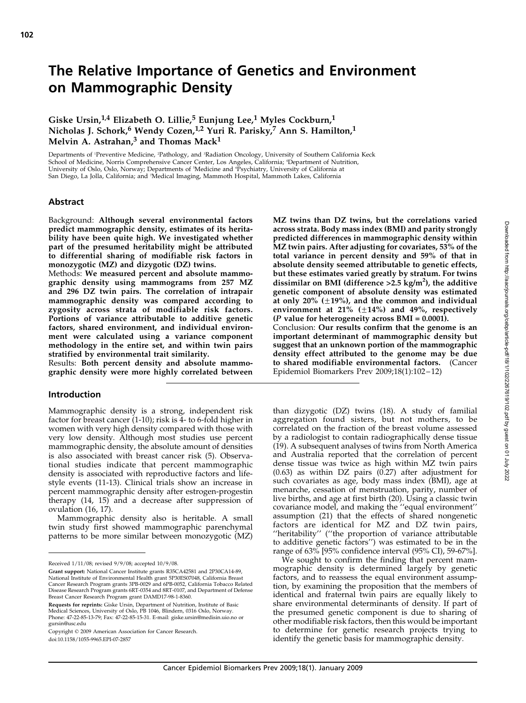# The Relative Importance of Genetics and Environment on Mammographic Density

Giske Ursin,<sup>1,4</sup> Elizabeth O. Lillie,<sup>5</sup> Eunjung Lee,<sup>1</sup> Myles Cockburn,<sup>1</sup> Nicholas J. Schork,<sup>6</sup> Wendy Cozen,<sup>1,2</sup> Yuri R. Parisky,<sup>7</sup> Ann S. Hamilton,<sup>1</sup> Melvin A. Astrahan, $3$  and Thomas Mack<sup>1</sup>

Departments of <sup>1</sup> Preventive Medicine, <sup>2</sup> Pathology, and <sup>3</sup> Radiation Oncology, University of Southern California Keck School of Medicine, Norris Comprehensive Cancer Center, Los Angeles, California; <sup>4</sup> Department of Nutrition, University of Oslo, Oslo, Norway; Departments of <sup>5</sup> Medicine and <sup>6</sup> Psychiatry, University of California at San Diego, La Jolla, California; and <sup>7</sup> Medical Imaging, Mammoth Hospital, Mammoth Lakes, California

#### Abstract

Background: Although several environmental factors predict mammographic density, estimates of its heritability have been quite high. We investigated whether part of the presumed heritability might be attributed to differential sharing of modifiable risk factors in monozygotic (MZ) and dizygotic (DZ) twins.

Methods: We measured percent and absolute mammographic density using mammograms from 257 MZ and 296 DZ twin pairs. The correlation of intrapair mammographic density was compared according to zygosity across strata of modifiable risk factors. Portions of variance attributable to additive genetic factors, shared environment, and individual environment were calculated using a variance component methodology in the entire set, and within twin pairs stratified by environmental trait similarity.

Results: Both percent density and absolute mammographic density were more highly correlated between

#### Introduction

Mammographic density is a strong, independent risk factor for breast cancer (1-10); risk is 4- to 6-fold higher in women with very high density compared with those with very low density. Although most studies use percent mammographic density, the absolute amount of densities is also associated with breast cancer risk (5). Observational studies indicate that percent mammographic density is associated with reproductive factors and lifestyle events (11-13). Clinical trials show an increase in percent mammographic density after estrogen-progestin therapy (14, 15) and a decrease after suppression of ovulation (16, 17).

Mammographic density also is heritable. A small twin study first showed mammographic parenchymal patterns to be more similar between monozygotic (MZ)

Requests for reprints: Giske Ursin, Department of Nutrition, Institute of Basic Medical Sciences, University of Oslo, PB 1046, Blindern, 0316 Oslo, Norway. Phone: 47-22-85-13-79; Fax: 47-22-85-15-31. E-mail: giske.ursin@medisin.uio.no or gursin@usc.edu

Copyright © 2009 American Association for Cancer Research.

doi:10.1158/1055-9965.EPI-07-2857

MZ twins than DZ twins, but the correlations varied across strata. Body mass index (BMI) and parity strongly predicted differences in mammographic density within MZ twin pairs. After adjusting for covariates, 53% of the total variance in percent density and 59% of that in absolute density seemed attributable to genetic effects, but these estimates varied greatly by stratum. For twins dissimilar on BMI (difference >2.5 kg/m<sup>2</sup>), the additive genetic component of absolute density was estimated at only 20%  $(\pm 19)$ , and the common and individual environment at 21%  $(\pm 14\%)$  and 49%, respectively (*P* value for heterogeneity across  $BMI = 0.0001$ ).

Conclusion: Our results confirm that the genome is an important determinant of mammographic density but suggest that an unknown portion of the mammographic density effect attributed to the genome may be due to shared modifiable environmental factors. (Cancer Epidemiol Biomarkers Prev 2009;18(1):102 – 12)

than dizygotic (DZ) twins (18). A study of familial aggregation found sisters, but not mothers, to be correlated on the fraction of the breast volume assessed by a radiologist to contain radiographically dense tissue (19). A subsequent analyses of twins from North America and Australia reported that the correlation of percent dense tissue was twice as high within MZ twin pairs (0.63) as within DZ pairs (0.27) after adjustment for such covariates as age, body mass index (BMI), age at menarche, cessation of menstruation, parity, number of live births, and age at first birth (20). Using a classic twin covariance model, and making the ''equal environment'' assumption (21) that the effects of shared nongenetic factors are identical for MZ and DZ twin pairs, ''heritability'' (''the proportion of variance attributable to additive genetic factors'') was estimated to be in the range of 63% [95% confidence interval (95% CI), 59-67%].

We sought to confirm the finding that percent mammographic density is determined largely by genetic factors, and to reassess the equal environment assumption, by examining the proposition that the members of identical and fraternal twin pairs are equally likely to share environmental determinants of density. If part of the presumed genetic component is due to sharing of other modifiable risk factors, then this would be important to determine for genetic research projects trying to identify the genetic basis for mammographic density.

Received 1/11/08; revised 9/9/08; accepted 10/9/08.

Grant support: National Cancer Institute grants R35CA42581 and 2P30CA14-89, National Institute of Environmental Health grant 5P30ES07048, California Breast Cancer Research Program grants 3PB-0029 and 6PB-0052, California Tobacco Related Disease Research Program grants 6RT-0354 and 8RT-0107, and Department of Defense Breast Cancer Research Program grant DAMD17-98-1-8360.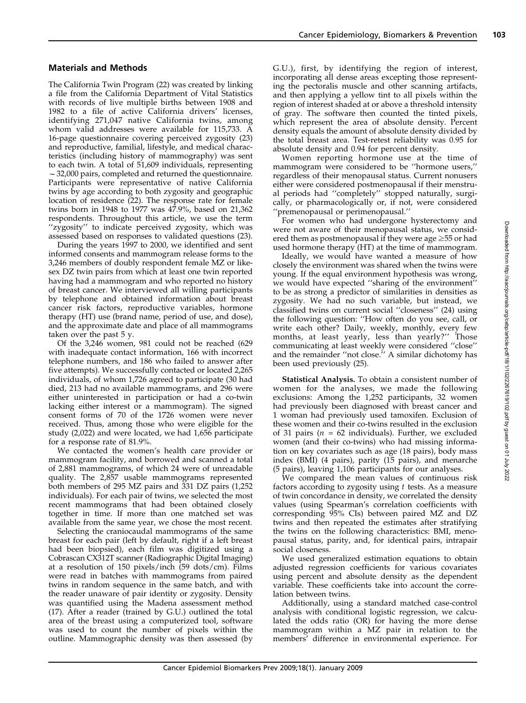# Materials and Methods

The California Twin Program (22) was created by linking a file from the California Department of Vital Statistics with records of live multiple births between 1908 and 1982 to a file of active California drivers' licenses, identifying 271,047 native California twins, among whom valid addresses were available for 115,733. A 16-page questionnaire covering perceived zygosity (23) and reproductive, familial, lifestyle, and medical characteristics (including history of mammography) was sent to each twin. A total of 51,609 individuals, representing  $\sim$  32,000 pairs, completed and returned the questionnaire. Participants were representative of native California twins by age according to both zygosity and geographic location of residence (22). The response rate for female twins born in 1948 to 1977 was 47.9%, based on 21,362 respondents. Throughout this article, we use the term "zygosity" to indicate perceived zygosity, which was assessed based on responses to validated questions (23).

During the years 1997 to 2000, we identified and sent informed consents and mammogram release forms to the 3,246 members of doubly respondent female MZ or likesex DZ twin pairs from which at least one twin reported having had a mammogram and who reported no history of breast cancer. We interviewed all willing participants by telephone and obtained information about breast cancer risk factors, reproductive variables, hormone therapy (HT) use (brand name, period of use, and dose), and the approximate date and place of all mammograms taken over the past 5 y.

Of the 3,246 women, 981 could not be reached (629 with inadequate contact information, 166 with incorrect telephone numbers, and 186 who failed to answer after five attempts). We successfully contacted or located 2,265 individuals, of whom 1,726 agreed to participate (30 had died, 213 had no available mammograms, and 296 were either uninterested in participation or had a co-twin lacking either interest or a mammogram). The signed consent forms of 70 of the 1726 women were never received. Thus, among those who were eligible for the study (2,022) and were located, we had 1,656 participate for a response rate of 81.9%.

We contacted the women's health care provider or mammogram facility, and borrowed and scanned a total of 2,881 mammograms, of which 24 were of unreadable quality. The 2,857 usable mammograms represented both members of 295 MZ pairs and 331 DZ pairs (1,252 individuals). For each pair of twins, we selected the most recent mammograms that had been obtained closely together in time. If more than one matched set was available from the same year, we chose the most recent.

Selecting the craniocaudal mammograms of the same breast for each pair (left by default, right if a left breast had been biopsied), each film was digitized using a Cobrascan CX312T scanner (Radiographic Digital Imaging) at a resolution of 150 pixels/inch (59 dots/cm). Films were read in batches with mammograms from paired twins in random sequence in the same batch, and with the reader unaware of pair identity or zygosity. Density was quantified using the Madena assessment method (17). After a reader (trained by G.U.) outlined the total area of the breast using a computerized tool, software was used to count the number of pixels within the outline. Mammographic density was then assessed (by G.U.), first, by identifying the region of interest, incorporating all dense areas excepting those representing the pectoralis muscle and other scanning artifacts, and then applying a yellow tint to all pixels within the region of interest shaded at or above a threshold intensity of gray. The software then counted the tinted pixels, which represent the area of absolute density. Percent density equals the amount of absolute density divided by the total breast area. Test-retest reliability was 0.95 for absolute density and 0.94 for percent density.

Women reporting hormone use at the time of mammogram were considered to be ''hormone users,'' regardless of their menopausal status. Current nonusers either were considered postmenopausal if their menstrual periods had ''completely'' stopped naturally, surgically, or pharmacologically or, if not, were considered 'premenopausal or perimenopausal.'

For women who had undergone hysterectomy and were not aware of their menopausal status, we considered them as postmenopausal if they were age  $\geq$ 55 or had used hormone therapy (HT) at the time of mammogram.

Ideally, we would have wanted a measure of how closely the environment was shared when the twins were young. If the equal environment hypothesis was wrong, we would have expected ''sharing of the environment'' to be as strong a predictor of similarities in densities as zygosity. We had no such variable, but instead, we classified twins on current social ''closeness'' (24) using the following question: ''How often do you see, call, or write each other? Daily, weekly, monthly, every few months, at least yearly, less than yearly?'' Those communicating at least weekly were considered ''close'' and the remainder ''not close.'' A similar dichotomy has been used previously (25).

Statistical Analysis. To obtain a consistent number of women for the analyses, we made the following exclusions: Among the 1,252 participants, 32 women had previously been diagnosed with breast cancer and 1 woman had previously used tamoxifen. Exclusion of these women and their co-twins resulted in the exclusion of 31 pairs ( $n = 62$  individuals). Further, we excluded women (and their co-twins) who had missing information on key covariates such as age (18 pairs), body mass index (BMI) (4 pairs), parity (15 pairs), and menarche (5 pairs), leaving 1,106 participants for our analyses.

We compared the mean values of continuous risk factors according to zygosity using  $t$  tests. As a measure of twin concordance in density, we correlated the density values (using Spearman's correlation coefficients with corresponding 95% CIs) between paired MZ and DZ twins and then repeated the estimates after stratifying the twins on the following characteristics: BMI, menopausal status, parity, and, for identical pairs, intrapair social closeness.

We used generalized estimation equations to obtain adjusted regression coefficients for various covariates using percent and absolute density as the dependent variable. These coefficients take into account the correlation between twins.

Additionally, using a standard matched case-control analysis with conditional logistic regression, we calculated the odds ratio (OR) for having the more dense mammogram within a MZ pair in relation to the members' difference in environmental experience. For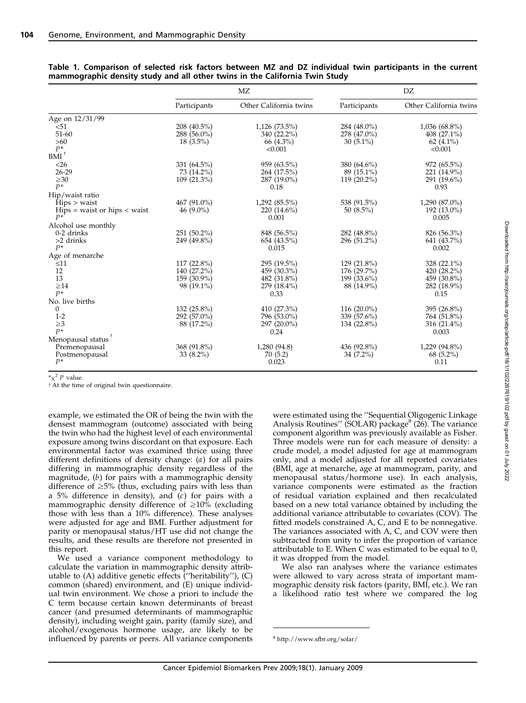|                                    |               | ΜZ                     | DZ             |                        |  |  |
|------------------------------------|---------------|------------------------|----------------|------------------------|--|--|
|                                    | Participants  | Other California twins | Participants   | Other California twins |  |  |
| Age on 12/31/99                    |               |                        |                |                        |  |  |
| < 51                               | $208(40.5\%)$ | 1,126 (73.5%)          | 284 (48.0%)    | $1,036(68.8\%)$        |  |  |
| 51-60                              | 288 (56.0%)   | 340 (22.2%)            | 278 (47.0%)    | 408 (27.1%)            |  |  |
| >60                                | $18(3.5\%)$   | 66 (4.3%)              | $30(5.1\%)$    | 62 $(4.1\%)$           |  |  |
| $P^*$                              |               | < 0.001                |                | < 0.001                |  |  |
| $BMI^{\dagger}$                    |               |                        |                |                        |  |  |
| $<$ 26                             | 331 (64.5%)   | 959 (63.5%)            | 380 (64.6%)    | 972 (65.5%)            |  |  |
| $26 - 29$                          | 73 (14.2%)    | 264 (17.5%)            | 89 (15.1%)     | 221 (14.9%)            |  |  |
| $\geq 30$                          | $109(21.3\%)$ | 287 (19.0%)            | $119(20.2\%)$  | 291 (19.6%)            |  |  |
| $P^*$                              |               | 0.18                   |                | 0.93                   |  |  |
| Hip/waist ratio                    |               |                        |                |                        |  |  |
| Hips > 0                           | 467 (91.0%)   | 1,292 (85.5%)          | 538 (91.5%)    | 1,290 (87.0%)          |  |  |
| $Hips = waist$ or hips $\lt$ waist | 46 $(9.0\%)$  | $220(14.6\%)$          | 50 $(8.5\%)$   | 192 (13.0%)            |  |  |
| $P*$                               |               | 0.001                  |                | 0.005                  |  |  |
| Alcohol use monthly                |               |                        |                |                        |  |  |
| 0-2 drinks                         | $251(50.2\%)$ | 848 (56.5%)            | 282 (48.8%)    | 826 (56.3%)            |  |  |
| $>2$ drinks                        | 249 (49.8%)   | 654 (43.5%)            | 296 (51.2%)    | 641 (43.7%)            |  |  |
| $P*$                               |               | 0.015                  |                | 0.002                  |  |  |
| Age of menarche                    |               |                        |                |                        |  |  |
| $\leq 11$                          | $117(22.8\%)$ | 295 (19.5%)            | 129 (21.8%)    | 328 (22.1%)            |  |  |
| 12                                 | 140 (27.2%)   | 459 (30.3%)            | 176 (29.7%)    | 420 (28.2%)            |  |  |
| 13                                 | 159 (30.9%)   | 482 (31.8%)            | 199 (33.6%)    | 459 (30.8%)            |  |  |
| $\geq$ 14                          | 98 (19.1%)    | 279 (18.4%)            | 88 (14.9%)     | 282 (18.9%)            |  |  |
| $P*$                               |               | 0.33                   |                | 0.15                   |  |  |
| No. live births                    |               |                        |                |                        |  |  |
| $\theta$                           | 132 (25.8%)   | 410 (27.3%)            | 116 $(20.0\%)$ | 395 (26.8%)            |  |  |
| $1 - 2$                            | 292 (57.0%)   | 796 (53.0%)            | 339 (57.6%)    | 764 (51.8%)            |  |  |
| $\geq$ 3                           | 88 (17.2%)    | 297 (20.0%)            | 134 (22.8%)    | 316 (21.4%)            |  |  |
| $p*$                               |               | 0.24                   |                | 0.003                  |  |  |
| Menopausal status <sup>†</sup>     |               |                        |                |                        |  |  |
| Premenopausal                      | 368 (91.8%)   | 1,280 (94.8)           | 436 (92.8%)    | 1,229 (94.8%)          |  |  |
| Postmenopausal                     | 33 $(8.2\%)$  | 70 (5.2)               | $34(7.2\%)$    | $68(5.2\%)$            |  |  |
| $P^*$                              |               | 0.023                  |                | 0.11                   |  |  |
|                                    |               |                        |                |                        |  |  |

| Table 1. Comparison of selected risk factors between MZ and DZ individual twin participants in the current |  |  |  |  |  |  |
|------------------------------------------------------------------------------------------------------------|--|--|--|--|--|--|
| mammographic density study and all other twins in the California Twin Study                                |  |  |  |  |  |  |

 $\gamma^2$  P value.

<sup>†</sup> At the time of original twin questionnaire.

example, we estimated the OR of being the twin with the densest mammogram (outcome) associated with being the twin who had the highest level of each environmental exposure among twins discordant on that exposure. Each environmental factor was examined thrice using three different definitions of density change: (a) for all pairs differing in mammographic density regardless of the magnitude, (b) for pairs with a mammographic density difference of  $\geq$ 5% (thus, excluding pairs with less than a  $5%$  difference in density), and  $(c)$  for pairs with a mammographic density difference of  $\geq 10\%$  (excluding those with less than a 10% difference). These analyses were adjusted for age and BMI. Further adjustment for parity or menopausal status/HT use did not change the results, and these results are therefore not presented in this report.

We used a variance component methodology to calculate the variation in mammographic density attributable to  $(A)$  additive genetic effects  $($ "heritability" $)$ ,  $(C)$ common (shared) environment, and (E) unique individual twin environment. We chose a priori to include the C term because certain known determinants of breast cancer (and presumed determinants of mammographic density), including weight gain, parity (family size), and alcohol/exogenous hormone usage, are likely to be influenced by parents or peers. All variance components were estimated using the ''Sequential Oligogenic Linkage Analysis Routines'' (SOLAR) package<sup>8</sup> (26). The variance component algorithm was previously available as Fisher. Three models were run for each measure of density: a crude model, a model adjusted for age at mammogram only, and a model adjusted for all reported covariates (BMI, age at menarche, age at mammogram, parity, and menopausal status/hormone use). In each analysis, variance components were estimated as the fraction of residual variation explained and then recalculated based on a new total variance obtained by including the additional variance attributable to covariates (COV). The fitted models constrained A, C, and E to be nonnegative. The variances associated with A, C, and COV were then subtracted from unity to infer the proportion of variance attributable to E. When C was estimated to be equal to 0, it was dropped from the model.

We also ran analyses where the variance estimates were allowed to vary across strata of important mammographic density risk factors (parity, BMI, etc.). We ran a likelihood ratio test where we compared the log

<sup>8</sup> http://www.sfbr.org/solar/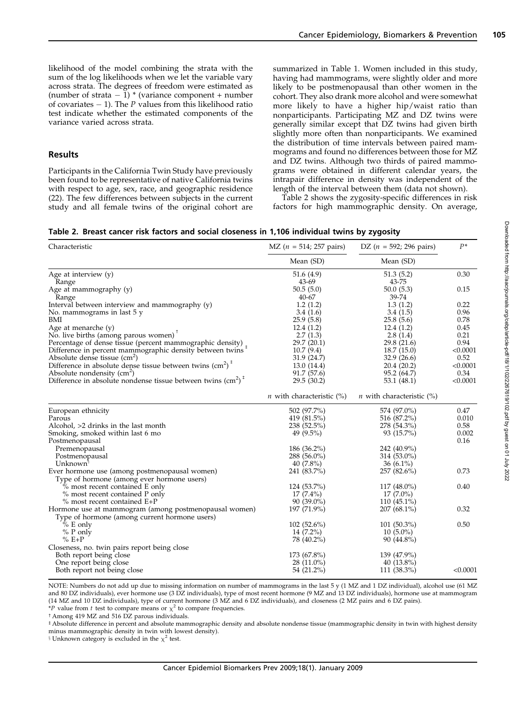likelihood of the model combining the strata with the sum of the log likelihoods when we let the variable vary across strata. The degrees of freedom were estimated as (number of strata  $-1$ ) \* (variance component + number of covariates  $-1$ ). The P values from this likelihood ratio test indicate whether the estimated components of the variance varied across strata.

## Results

Participants in the California Twin Study have previously been found to be representative of native California twins with respect to age, sex, race, and geographic residence (22). The few differences between subjects in the current study and all female twins of the original cohort are summarized in Table 1. Women included in this study, having had mammograms, were slightly older and more likely to be postmenopausal than other women in the cohort. They also drank more alcohol and were somewhat more likely to have a higher hip/waist ratio than nonparticipants. Participating MZ and DZ twins were generally similar except that DZ twins had given birth slightly more often than nonparticipants. We examined the distribution of time intervals between paired mammograms and found no differences between those for MZ and DZ twins. Although two thirds of paired mammograms were obtained in different calendar years, the intrapair difference in density was independent of the length of the interval between them (data not shown).

Table 2 shows the zygosity-specific differences in risk factors for high mammographic density. On average,

|  |  |  | Table 2. Breast cancer risk factors and social closeness in 1,106 individual twins by zygosity |  |  |  |
|--|--|--|------------------------------------------------------------------------------------------------|--|--|--|
|--|--|--|------------------------------------------------------------------------------------------------|--|--|--|

| Characteristic                                                                                               | $MZ (n = 514; 257 \text{ pairs})$   | DZ ( $n = 592$ ; 296 pairs)         | $P^*$    |  |
|--------------------------------------------------------------------------------------------------------------|-------------------------------------|-------------------------------------|----------|--|
|                                                                                                              | Mean (SD)                           | Mean (SD)                           |          |  |
| Age at interview $(y)$                                                                                       | 51.6 (4.9)                          | 51.3(5.2)                           | 0.30     |  |
| Range                                                                                                        | 43-69                               | 43-75                               |          |  |
| Age at mammography (y)                                                                                       | 50.5(5.0)                           | 50.0(5.3)                           | 0.15     |  |
| Range                                                                                                        | $40 - 67$                           | 39-74                               |          |  |
| Interval between interview and mammography (y)                                                               | 1.2(1.2)                            | 1.3(1.2)                            | 0.22     |  |
| No. mammograms in last 5 y                                                                                   | 3.4(1.6)                            | 3.4(1.5)                            | 0.96     |  |
| BMI                                                                                                          | 25.9(5.8)                           | 25.8(5.6)                           | 0.78     |  |
| Age at menarche $(y)$                                                                                        | 12.4(1.2)                           | 12.4(1.2)                           | 0.45     |  |
| No. live births (among parous women) <sup>†</sup>                                                            | 2.7(1.3)                            | 2.8(1.4)                            | 0.21     |  |
| Percentage of dense tissue (percent mammographic density).                                                   | 29.7 (20.1)                         | 29.8 (21.6)                         | 0.94     |  |
| Difference in percent mammographic density between twins                                                     | 10.7(9.4)                           | 18.7(15.0)                          | < 0.0001 |  |
| Absolute dense tissue $(cm2)$                                                                                | 31.9 (24.7)                         | 32.9(26.6)                          | 0.52     |  |
| Difference in absolute dense tissue between twins $\text{cm}^2$ <sup>T</sup>                                 | 13.0 (14.4)                         | 20.4 (20.2)                         | < 0.0001 |  |
| Absolute nondensity $(cm2)$                                                                                  | 91.7 (57.6)                         | 95.2 (64.7)                         | 0.34     |  |
| Difference in absolute nondense tissue between twins $\text{(cm}^2\text{)}$ <sup><math>\text{t}</math></sup> | 29.5(30.2)                          | 53.1 (48.1)                         | < 0.0001 |  |
|                                                                                                              | <i>n</i> with characteristic $(\%)$ | <i>n</i> with characteristic $(\%)$ |          |  |
| European ethnicity                                                                                           | 502 (97.7%)                         | 574 (97.0%)                         | 0.47     |  |
| Parous                                                                                                       | 419 (81.5%)                         | 516 (87.2%)                         | 0.010    |  |
| Alcohol, >2 drinks in the last month                                                                         | 238 (52.5%)                         | 278 (54.3%)                         | 0.58     |  |
| Smoking, smoked within last 6 mo                                                                             | 49 (9.5%)                           | 93 (15.7%)                          | 0.002    |  |
| Postmenopausal                                                                                               |                                     |                                     | 0.16     |  |
| Premenopausal                                                                                                | 186 (36.2%)                         | 242 (40.9%)                         |          |  |
| Postmenopausal                                                                                               | 288 (56.0%)                         | 314 (53.0%)                         |          |  |
| Unknown <sup>§</sup>                                                                                         | $40(7.8\%)$                         | $36(6.1\%)$                         |          |  |
| Ever hormone use (among postmenopausal women)                                                                | 241 (83.7%)                         | 257 (82.6%)                         | 0.73     |  |
| Type of hormone (among ever hormone users)                                                                   |                                     |                                     |          |  |
| % most recent contained E only                                                                               | 124 (53.7%)                         | $117(48.0\%)$                       | 0.40     |  |
| % most recent contained P only                                                                               | $17(7.4\%)$                         | $17(7.0\%)$                         |          |  |
| % most recent contained E+P                                                                                  | $90(39.0\%)$                        | $110(45.1\%)$                       |          |  |
| Hormone use at mammogram (among postmenopausal women)                                                        | 197 (71.9%)                         | $207(68.1\%)$                       | 0.32     |  |
| Type of hormone (among current hormone users)                                                                |                                     |                                     |          |  |
| $% E$ only                                                                                                   | $102(52.6\%)$                       | $101(50.3\%)$                       | 0.50     |  |
| $% P$ only                                                                                                   | $14(7.2\%)$                         | $10(5.0\%)$                         |          |  |
| $% E+P$                                                                                                      | 78 (40.2%)                          | $90(44.8\%)$                        |          |  |
| Closeness, no. twin pairs report being close                                                                 |                                     |                                     |          |  |
| Both report being close                                                                                      | 173 (67.8%)                         | 139 (47.9%)                         |          |  |
| One report being close                                                                                       | $28(11.0\%)$                        | 40 $(13.8\%)$                       |          |  |
| Both report not being close                                                                                  | 54 (21.2%)                          | 111 (38.3%)                         | < 0.0001 |  |

NOTE: Numbers do not add up due to missing information on number of mammograms in the last 5 y (1 MZ and 1 DZ individual), alcohol use (61 MZ and 80 DZ individuals), ever hormone use (3 DZ individuals), type of most recent hormone (9 MZ and 13 DZ individuals), hormone use at mammogram (14 MZ and 10 DZ individuals), type of current hormone (3 MZ and 6 DZ individuals), and closeness (2 MZ pairs and 6 DZ pairs). \*P value from t test to compare means or  $\chi^2$  to compare frequencies.

<sup>t</sup> Among 419 MZ and 516 DZ parous individuals.

 $\pm$  Absolute difference in percent and absolute mammographic density and absolute nondense tissue (mammographic density in twin with highest density minus mammographic density in twin with lowest density).

<sup>§</sup> Unknown category is excluded in the  $\chi^2$  test.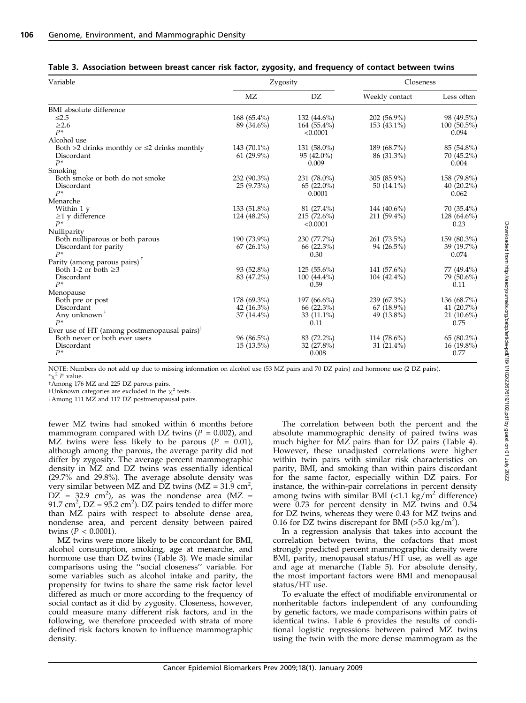| Variable                                                                              |               | Zygosity               | Closeness      |                        |  |  |
|---------------------------------------------------------------------------------------|---------------|------------------------|----------------|------------------------|--|--|
|                                                                                       | MZ            | DZ                     | Weekly contact | Less often             |  |  |
| BMI absolute difference                                                               |               |                        |                |                        |  |  |
| $\leq 2.5$                                                                            | $168(65.4\%)$ | 132 $(44.6\%)$         | 202 (56.9%)    | 98 (49.5%)             |  |  |
| $\geq$ 2.6                                                                            | 89 (34.6%)    | $164(55.4\%)$          | 153 (43.1%)    | $100(50.5\%)$          |  |  |
| $P^*$                                                                                 |               | < 0.0001               |                | 0.094                  |  |  |
| Alcohol use                                                                           |               |                        |                |                        |  |  |
| Both $>2$ drinks monthly or $\leq 2$ drinks monthly                                   | 143 (70.1%)   | 131 (58.0%)            | 189 (68.7%)    | 85 (54.8%)             |  |  |
| Discordant                                                                            | $61(29.9\%)$  | 95 (42.0%)             | 86 (31.3%)     | 70 (45.2%)             |  |  |
| $P^*$                                                                                 |               | 0.009                  |                | 0.004                  |  |  |
| Smoking                                                                               |               |                        |                |                        |  |  |
| Both smoke or both do not smoke                                                       | $232(90.3\%)$ | 231 (78.0%)            | $305(85.9\%)$  | 158 (79.8%)            |  |  |
| Discordant<br>$P^*$                                                                   | $25(9.73\%)$  | $65(22.0\%)$<br>0.0001 | $50(14.1\%)$   | 40 $(20.2\%)$<br>0.062 |  |  |
| Menarche                                                                              |               |                        |                |                        |  |  |
| Within 1 y                                                                            | $133(51.8\%)$ | $81(27.4\%)$           | 144 (40.6%)    | $70(35.4\%)$           |  |  |
| $\geq$ 1 y difference                                                                 | 124 (48.2%)   | $215(72.6\%)$          | 211 (59.4%)    | $128(64.6\%)$          |  |  |
| $p*$                                                                                  |               | < 0.0001               |                | 0.23                   |  |  |
| Nulliparity                                                                           |               |                        |                |                        |  |  |
| Both nulliparous or both parous                                                       | 190 (73.9%)   | 230 (77.7%)            | 261 (73.5%)    | 159 (80.3%)            |  |  |
| Discordant for parity                                                                 | $67(26.1\%)$  | 66 (22.3%)             | 94 (26.5%)     | 39 (19.7%)             |  |  |
| $P*$                                                                                  |               | 0.30                   |                | 0.074                  |  |  |
| Parity (among parous pairs) <sup>†</sup>                                              |               |                        |                |                        |  |  |
| Both 1-2 or both $\geq$ 3                                                             | 93 (52.8%)    | $125(55.6\%)$          | 141 (57.6%)    | 77 (49.4%)             |  |  |
| Discordant                                                                            | 83 (47.2%)    | $100(44.4\%)$          | $104(42.4\%)$  | 79 (50.6%)             |  |  |
| $P^*$                                                                                 |               | 0.59                   |                | 0.11                   |  |  |
| Menopause                                                                             |               |                        |                |                        |  |  |
| Both pre or post                                                                      | 178 (69.3%)   | $197(66.6\%)$          | 239 (67.3%)    | 136 (68.7%)            |  |  |
| Discordant                                                                            | 42 $(16.3\%)$ | $66(22.3\%)$           | $67(18.9\%)$   | 41 $(20.7\%)$          |  |  |
| Any unknown <sup><math>#</math></sup><br>$p*$                                         | $37(14.4\%)$  | 33 (11.1%)<br>0.11     | 49 (13.8%)     | $21(10.6\%)$<br>0.75   |  |  |
|                                                                                       |               |                        |                |                        |  |  |
| Ever use of HT (among postmenopausal pairs) $\delta$<br>Both never or both ever users | 96 (86.5%)    | 83 (72.2%)             | 114 (78.6%)    | $65(80.2\%)$           |  |  |
| Discordant                                                                            | $15(13.5\%)$  | 32 (27.8%)             | 31 $(21.4\%)$  | $16(19.8\%)$           |  |  |
| $P^*$                                                                                 |               | 0.008                  |                | 0.77                   |  |  |
|                                                                                       |               |                        |                |                        |  |  |

| Table 3. Association between breast cancer risk factor, zygosity, and frequency of contact between twins |  |  |  |  |  |  |  |  |  |
|----------------------------------------------------------------------------------------------------------|--|--|--|--|--|--|--|--|--|
|----------------------------------------------------------------------------------------------------------|--|--|--|--|--|--|--|--|--|

NOTE: Numbers do not add up due to missing information on alcohol use (53 MZ pairs and 70 DZ pairs) and hormone use (2 DZ pairs).  $x^2$  P value.

<sup>†</sup>Among 176 MZ and 225 DZ parous pairs.

<sup>‡</sup>Unknown categories are excluded in the  $\chi^2$  tests.

 $\frac{114 \text{ MZ}}{2}$  and 117 DZ postmenopausal pairs.

fewer MZ twins had smoked within 6 months before mammogram compared with DZ twins ( $P = 0.002$ ), and MZ twins were less likely to be parous  $(P = 0.01)$ , although among the parous, the average parity did not differ by zygosity. The average percent mammographic density in MZ and DZ twins was essentially identical (29.7% and 29.8%). The average absolute density was very similar between MZ and  $\overline{D}Z$  twins (MZ = 31.9 cm<sup>2</sup>,  $DZ = 32.9$  cm<sup>2</sup>), as was the nondense area (MZ = 91.7 cm<sup>2</sup>, DZ =  $95.2 \text{ cm}^2$ ). DZ pairs tended to differ more than MZ pairs with respect to absolute dense area, nondense area, and percent density between paired twins ( $P < 0.0001$ ).

MZ twins were more likely to be concordant for BMI, alcohol consumption, smoking, age at menarche, and hormone use than DZ twins (Table 3). We made similar comparisons using the ''social closeness'' variable. For some variables such as alcohol intake and parity, the propensity for twins to share the same risk factor level differed as much or more according to the frequency of social contact as it did by zygosity. Closeness, however, could measure many different risk factors, and in the following, we therefore proceeded with strata of more defined risk factors known to influence mammographic density.

The correlation between both the percent and the absolute mammographic density of paired twins was much higher for MZ pairs than for DZ pairs (Table 4). However, these unadjusted correlations were higher within twin pairs with similar risk characteristics on parity, BMI, and smoking than within pairs discordant for the same factor, especially within DZ pairs. For instance, the within-pair correlations in percent density among twins with similar BMI  $\left($ <1.1 kg/m<sup>2</sup> difference) were 0.73 for percent density in MZ twins and 0.54 for DZ twins, whereas they were 0.43 for MZ twins and 0.16 for DZ twins discrepant for BMI  $(>5.0 \text{ kg/m}^2)$ .

In a regression analysis that takes into account the correlation between twins, the cofactors that most strongly predicted percent mammographic density were BMI, parity, menopausal status/HT use, as well as age and age at menarche (Table 5). For absolute density, the most important factors were BMI and menopausal status/HT use.

To evaluate the effect of modifiable environmental or nonheritable factors independent of any confounding by genetic factors, we made comparisons within pairs of identical twins. Table 6 provides the results of conditional logistic regressions between paired MZ twins using the twin with the more dense mammogram as the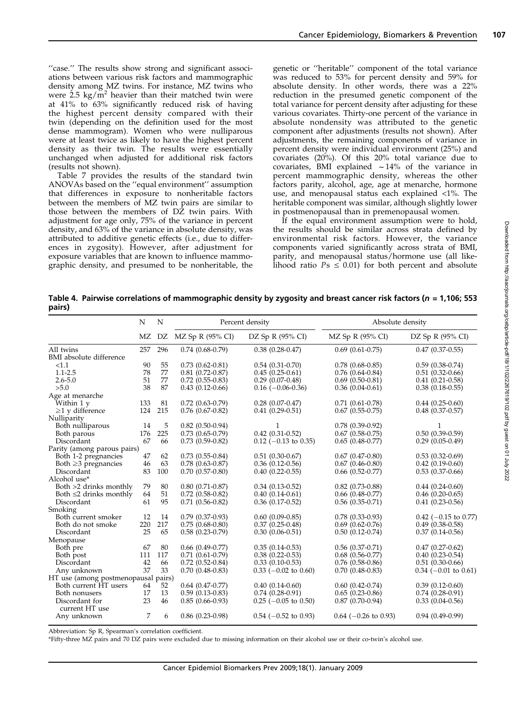"case." The results show strong and significant associations between various risk factors and mammographic density among MZ twins. For instance, MZ twins who were 2.5 kg/ $\text{m}^2$  heavier than their matched twin were at 41% to 63% significantly reduced risk of having the highest percent density compared with their twin (depending on the definition used for the most dense mammogram). Women who were nulliparous were at least twice as likely to have the highest percent density as their twin. The results were essentially unchanged when adjusted for additional risk factors (results not shown).

Table 7 provides the results of the standard twin ANOVAs based on the ''equal environment'' assumption that differences in exposure to nonheritable factors between the members of MZ twin pairs are similar to those between the members of DZ twin pairs. With adjustment for age only, 75% of the variance in percent density, and 63% of the variance in absolute density, was attributed to additive genetic effects (i.e., due to differences in zygosity). However, after adjustment for exposure variables that are known to influence mammographic density, and presumed to be nonheritable, the genetic or ''heritable'' component of the total variance was reduced to 53% for percent density and 59% for absolute density. In other words, there was a 22% reduction in the presumed genetic component of the total variance for percent density after adjusting for these various covariates. Thirty-one percent of the variance in absolute nondensity was attributed to the genetic component after adjustments (results not shown). After adjustments, the remaining components of variance in percent density were individual environment (25%) and covariates (20%). Of this 20% total variance due to covariates,  $\overline{BMI}$  explained  $\sim$  14% of the variance in percent mammographic density, whereas the other factors parity, alcohol, age, age at menarche, hormone use, and menopausal status each explained <1%. The heritable component was similar, although slightly lower in postmenopausal than in premenopausal women.

If the equal environment assumption were to hold, the results should be similar across strata defined by environmental risk factors. However, the variance components varied significantly across strata of BMI, parity, and menopausal status/hormone use (all likelihood ratio  $Ps \leq 0.01$ ) for both percent and absolute

Table 4. Pairwise correlations of mammographic density by zygosity and breast cancer risk factors ( $n = 1,106; 553$ pairs)

|                                     | N   | N   |                        | Percent density        | Absolute density       |                        |
|-------------------------------------|-----|-----|------------------------|------------------------|------------------------|------------------------|
|                                     |     |     | MZ DZ MZ Sp R (95% CI) | DZ Sp R $(95\%$ CI)    | MZ Sp R (95% CI)       | DZ Sp R $(95\%$ CI)    |
| All twins                           | 257 | 296 | $0.74(0.68-0.79)$      | $0.38(0.28-0.47)$      | $0.69$ $(0.61 - 0.75)$ | $0.47$ $(0.37 - 0.55)$ |
| BMI absolute difference             |     |     |                        |                        |                        |                        |
| < 1.1                               | 90  | 55  | $0.73(0.62-0.81)$      | $0.54(0.31-0.70)$      | $0.78(0.68-0.85)$      | $0.59(0.38-0.74)$      |
| $1.1 - 2.5$                         | 78  | 77  | $0.81$ $(0.72 - 0.87)$ | $0.45(0.25-0.61)$      | $0.76(0.64-0.84)$      | $0.51(0.32-0.66)$      |
| $2.6 - 5.0$                         | 51  | 77  | $0.72(0.55-0.83)$      | $0.29(0.07-0.48)$      | $0.69(0.50-0.81)$      | $0.41(0.21-0.58)$      |
| >5.0                                | 38  | 87  | $0.43(0.12-0.66)$      | $0.16$ (-0.06-0.36)    | $0.36(0.04-0.61)$      | $0.38(0.18-0.55)$      |
| Age at menarche                     |     |     |                        |                        |                        |                        |
| Within 1 y                          | 133 | 81  | $0.72(0.63-0.79)$      | $0.28(0.07-0.47)$      | $0.71(0.61 - 0.78)$    | $0.44(0.25-0.60)$      |
| $\geq$ 1 v difference               | 124 | 215 | $0.76$ $(0.67 - 0.82)$ | $0.41(0.29-0.51)$      | $0.67(0.55-0.75)$      | $0.48$ $(0.37 - 0.57)$ |
| Nulliparity                         |     |     |                        |                        |                        |                        |
| Both nulliparous                    | 14  | 5   | $0.82(0.50-0.94)$      | $\mathbf{1}$           | $0.78(0.39-0.92)$      | $\mathbf{1}$           |
| Both parous                         | 176 | 225 | $0.73(0.65-0.79)$      | $0.42$ $(0.31 - 0.52)$ | $0.67$ $(0.58-0.75)$   | $0.50(0.39-0.59)$      |
| Discordant                          | 67  | 66  | $0.73(0.59-0.82)$      | $0.12$ (-0.13 to 0.35) | $0.65(0.48-0.77)$      | $0.29(0.05-0.49)$      |
| Parity (among parous pairs)         |     |     |                        |                        |                        |                        |
| Both 1-2 pregnancies                | 47  | 62  | $0.73(0.55-0.84)$      | $0.51(0.30-0.67)$      | $0.67(0.47-0.80)$      | $0.53(0.32-0.69)$      |
| Both $\geq$ 3 pregnancies           | 46  | 63  | $0.78$ $(0.63 - 0.87)$ | $0.36(0.12-0.56)$      | $0.67(0.46 - 0.80)$    | $0.42$ (0.19-0.60)     |
| Discordant                          | 83  | 100 | $0.70(0.57-0.80)$      | $0.40(0.22 - 0.55)$    | $0.66$ $(0.52 - 0.77)$ | $0.53(0.37-0.66)$      |
| Alcohol use*                        |     |     |                        |                        |                        |                        |
| Both >2 drinks monthly              | 79  | 80  | $0.80(0.71 - 0.87)$    | $0.34(0.13-0.52)$      | $0.82$ $(0.73 - 0.88)$ | $0.44(0.24-0.60)$      |
| Both $\leq$ 2 drinks monthly        | 64  | 51  | $0.72(0.58-0.82)$      | $0.40(0.14-0.61)$      | $0.66$ $(0.48-0.77)$   | $0.46$ $(0.20-0.65)$   |
| Discordant                          | 61  | 95  | $0.71(0.56-0.82)$      | $0.36$ $(0.17-0.52)$   | $0.56(0.35-0.71)$      | $0.41(0.23-0.56)$      |
| Smoking                             |     |     |                        |                        |                        |                        |
| Both current smoker                 | 12  | 14  | $0.79(0.37-0.93)$      | $0.60(0.09-0.85)$      | $0.78(0.33-0.93)$      | $0.42$ (-0.15 to 0.77) |
| Both do not smoke                   | 220 | 217 | $0.75(0.68-0.80)$      | $0.37(0.25-0.48)$      | $0.69$ $(0.62 - 0.76)$ | $0.49(0.38-0.58)$      |
| Discordant                          | 25  | 65  | $0.58(0.23-0.79)$      | $0.30(0.06-0.51)$      | $0.50(0.12-0.74)$      | $0.37(0.14-0.56)$      |
| Menopause                           |     |     |                        |                        |                        |                        |
| Both pre                            | 67  | 80  | $0.66$ $(0.49 - 0.77)$ | $0.35(0.14-0.53)$      | $0.56(0.37-0.71)$      | $0.47(0.27-0.62)$      |
| Both post                           | 111 | 117 | $0.71(0.61-0.79)$      | $0.38(0.22 - 0.53)$    | $0.68$ $(0.56 - 0.77)$ | $0.40(0.23-0.54)$      |
| Discordant                          | 42  | 66  | $0.72(0.52-0.84)$      | $0.33(0.10-0.53)$      | $0.76$ $(0.58-0.86)$   | $0.51(0.30-0.66)$      |
| Any unknown                         | 37  | 33  | $0.70(0.48-0.83)$      | $0.33$ (-0.02 to 0.60) | $0.70(0.48-0.83)$      | $0.34$ (-0.01 to 0.61) |
| HT use (among postmenopausal pairs) |     |     |                        |                        |                        |                        |
| Both current HT users               | 64  | 52  | $0.64(0.47-0.77)$      | $0.40(0.14-0.60)$      | $0.60(0.42 - 0.74)$    | $0.39(0.12-0.60)$      |
| Both nonusers                       | 17  | 13  | $0.59(0.13-0.83)$      | $0.74(0.28-0.91)$      | $0.65(0.23-0.86)$      | $0.74(0.28-0.91)$      |
| Discordant for                      | 23  | 46  | $0.85(0.66-0.93)$      | $0.25$ (-0.05 to 0.50) | $0.87(0.70-0.94)$      | $0.33(0.04-0.56)$      |
| current HT use                      |     |     |                        |                        |                        |                        |
| Any unknown                         | 7   | 6   | $0.86$ $(0.23-0.98)$   | $0.54$ (-0.52 to 0.93) | $0.64$ (-0.26 to 0.93) | $0.94(0.49-0.99)$      |

Abbreviation: Sp R, Spearman's correlation coefficient.

\*Fifty-three MZ pairs and 70 DZ pairs were excluded due to missing information on their alcohol use or their co-twin's alcohol use.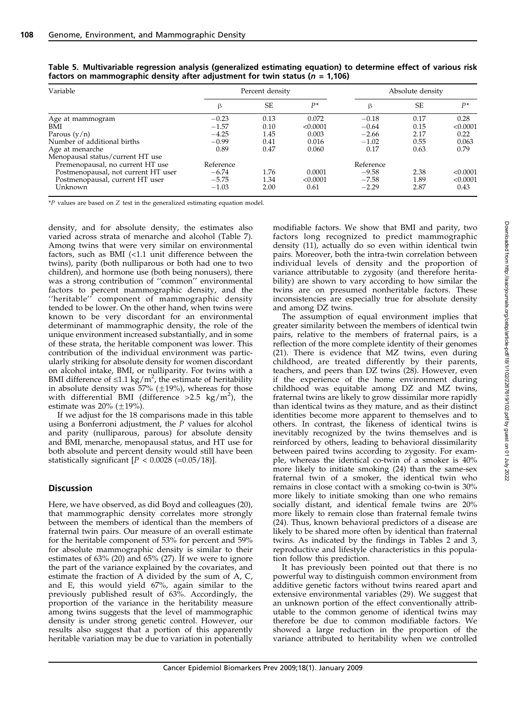| Variable                            |           | Percent density |          |           | Absolute density |          |  |  |
|-------------------------------------|-----------|-----------------|----------|-----------|------------------|----------|--|--|
|                                     | β         | <b>SE</b>       | $P^*$    | β         | <b>SE</b>        | $P*$     |  |  |
| Age at mammogram                    | $-0.23$   | 0.13            | 0.072    | $-0.18$   | 0.17             | 0.28     |  |  |
| BMI                                 | $-1.57$   | 0.10            | < 0.0001 | $-0.64$   | 0.15             | < 0.0001 |  |  |
| Parous $(y/n)$                      | $-4.25$   | 1.45            | 0.003    | $-2.66$   | 2.17             | 0.22     |  |  |
| Number of additional births         | $-0.99$   | 0.41            | 0.016    | $-1.02$   | 0.55             | 0.063    |  |  |
| Age at menarche                     | 0.89      | 0.47            | 0.060    | 0.17      | 0.63             | 0.79     |  |  |
| Menopausal status/current HT use    |           |                 |          |           |                  |          |  |  |
| Premenopausal, no current HT use    | Reference |                 |          | Reference |                  |          |  |  |
| Postmenopausal, not current HT user | $-6.74$   | 1.76            | 0.0001   | $-9.58$   | 2.38             | < 0.0001 |  |  |
| Postmenopausal, current HT user     | $-5.75$   | 1.34            | < 0.0001 | $-7.58$   | 1.89             | < 0.0001 |  |  |
| Unknown                             | $-1.03$   | 2.00            | 0.61     | $-2.29$   | 2.87             | 0.43     |  |  |

Table 5. Multivariable regression analysis (generalized estimating equation) to determine effect of various risk factors on mammographic density after adjustment for twin status ( $n = 1,106$ )

\*P values are based on Z test in the generalized estimating equation model.

density, and for absolute density, the estimates also varied across strata of menarche and alcohol (Table 7). Among twins that were very similar on environmental factors, such as BMI  $\ll 1.1$  unit difference between the twins), parity (both nulliparous or both had one to two children), and hormone use (both being nonusers), there was a strong contribution of ''common'' environmental factors to percent mammographic density, and the ''heritable'' component of mammographic density tended to be lower. On the other hand, when twins were known to be very discordant for an environmental determinant of mammographic density, the role of the unique environment increased substantially, and in some of these strata, the heritable component was lower. This contribution of the individual environment was particularly striking for absolute density for women discordant on alcohol intake, BMI, or nulliparity. For twins with a BMI difference of  $\leq 1.1$  kg/m<sup>2</sup>, the estimate of heritability in absolute density was  $57\%$  ( $\pm 19\%$ ), whereas for those with differential BMI (difference  $>2.5$  kg/m<sup>2</sup>), the estimate was  $20\%$  ( $\pm 19\%$ ).

If we adjust for the 18 comparisons made in this table using a Bonferroni adjustment, the P values for alcohol and parity (nulliparous, parous) for absolute density and BMI, menarche, menopausal status, and HT use for both absolute and percent density would still have been statistically significant  $[P < 0.0028 (=0.05/18)].$ 

# Discussion

Here, we have observed, as did Boyd and colleagues (20), that mammographic density correlates more strongly between the members of identical than the members of fraternal twin pairs. Our measure of an overall estimate for the heritable component of 53% for percent and 59% for absolute mammographic density is similar to their estimates of 63% (20) and 65% (27). If we were to ignore the part of the variance explained by the covariates, and estimate the fraction of A divided by the sum of A, C, and E, this would yield 67%, again similar to the previously published result of 63%. Accordingly, the proportion of the variance in the heritability measure among twins suggests that the level of mammographic density is under strong genetic control. However, our results also suggest that a portion of this apparently heritable variation may be due to variation in potentially modifiable factors. We show that BMI and parity, two factors long recognized to predict mammographic density (11), actually do so even within identical twin pairs. Moreover, both the intra-twin correlation between individual levels of density and the proportion of variance attributable to zygosity (and therefore heritability) are shown to vary according to how similar the twins are on presumed nonheritable factors. These inconsistencies are especially true for absolute density and among DZ twins.

The assumption of equal environment implies that greater similarity between the members of identical twin pairs, relative to the members of fraternal pairs, is a reflection of the more complete identity of their genomes (21). There is evidence that MZ twins, even during childhood, are treated differently by their parents, teachers, and peers than DZ twins (28). However, even if the experience of the home environment during childhood was equitable among DZ and MZ twins, fraternal twins are likely to grow dissimilar more rapidly than identical twins as they mature, and as their distinct identities become more apparent to themselves and to others. In contrast, the likeness of identical twins is inevitably recognized by the twins themselves and is reinforced by others, leading to behavioral dissimilarity between paired twins according to zygosity. For example, whereas the identical co-twin of a smoker is 40% more likely to initiate smoking (24) than the same-sex fraternal twin of a smoker, the identical twin who remains in close contact with a smoking co-twin is 30% more likely to initiate smoking than one who remains socially distant, and identical female twins are 20% more likely to remain close than fraternal female twins (24). Thus, known behavioral predictors of a disease are likely to be shared more often by identical than fraternal twins. As indicated by the findings in Tables 2 and 3, reproductive and lifestyle characteristics in this population follow this prediction.

It has previously been pointed out that there is no powerful way to distinguish common environment from additive genetic factors without twins reared apart and extensive environmental variables (29). We suggest that an unknown portion of the effect conventionally attributable to the common genome of identical twins may therefore be due to common modifiable factors. We showed a large reduction in the proportion of the variance attributed to heritability when we controlled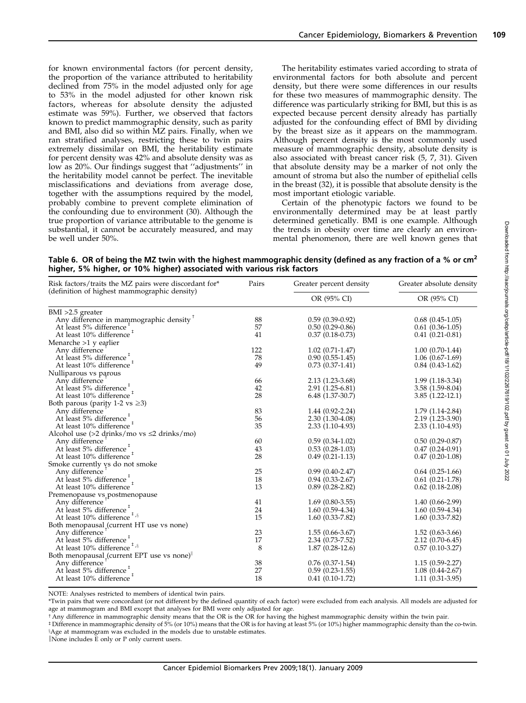for known environmental factors (for percent density, the proportion of the variance attributed to heritability declined from 75% in the model adjusted only for age to 53% in the model adjusted for other known risk factors, whereas for absolute density the adjusted estimate was 59%). Further, we observed that factors known to predict mammographic density, such as parity and BMI, also did so within MZ pairs. Finally, when we ran stratified analyses, restricting these to twin pairs extremely dissimilar on BMI, the heritability estimate for percent density was 42% and absolute density was as low as 20%. Our findings suggest that ''adjustments'' in the heritability model cannot be perfect. The inevitable misclassifications and deviations from average dose, together with the assumptions required by the model, probably combine to prevent complete elimination of the confounding due to environment (30). Although the true proportion of variance attributable to the genome is substantial, it cannot be accurately measured, and may be well under 50%.

The heritability estimates varied according to strata of environmental factors for both absolute and percent density, but there were some differences in our results for these two measures of mammographic density. The difference was particularly striking for BMI, but this is as expected because percent density already has partially adjusted for the confounding effect of BMI by dividing by the breast size as it appears on the mammogram. Although percent density is the most commonly used measure of mammographic density, absolute density is also associated with breast cancer risk (5, 7, 31). Given that absolute density may be a marker of not only the amount of stroma but also the number of epithelial cells in the breast (32), it is possible that absolute density is the most important etiologic variable.

Certain of the phenotypic factors we found to be environmentally determined may be at least partly determined genetically. BMI is one example. Although the trends in obesity over time are clearly an environmental phenomenon, there are well known genes that

Table 6. OR of being the MZ twin with the highest mammographic density (defined as any fraction of a % or cm<sup>2</sup> higher, 5% higher, or 10% higher) associated with various risk factors

| Risk factors/traits the MZ pairs were discordant for*                                   | Pairs | Greater percent density | Greater absolute density |
|-----------------------------------------------------------------------------------------|-------|-------------------------|--------------------------|
| (definition of highest mammographic density)                                            |       | OR (95% CI)             | OR (95% CI)              |
| $BMI > 2.5$ greater                                                                     |       |                         |                          |
| Any difference in mammographic density                                                  | 88    | $0.59(0.39-0.92)$       | $0.68(0.45-1.05)$        |
| At least 5% difference <sup>+</sup>                                                     | 57    | $0.50(0.29-0.86)$       | $0.61(0.36-1.05)$        |
| At least $10\%$ difference <sup><math>#</math></sup>                                    | 41    | $0.37(0.18-0.73)$       | $0.41(0.21-0.81)$        |
| Menarche $>1$ y earlier                                                                 |       |                         |                          |
| Any difference                                                                          | 122   | $1.02(0.71-1.47)$       | $1.00(0.70-1.44)$        |
| At least 5% difference <sup>#</sup>                                                     | 78    | $0.90(0.55-1.45)$       | $1.06(0.67-1.69)$        |
| At least 10% difference <sup>+</sup>                                                    | 49    | $0.73(0.37-1.41)$       | $0.84(0.43-1.62)$        |
| Nulliparous vs parous                                                                   |       |                         |                          |
| Any difference                                                                          | 66    | 2.13 (1.23-3.68)        | $1.99(1.18-3.34)$        |
| At least 5% difference <sup>#</sup>                                                     | 42    | 2.91 (1.25-6.81)        | $3.58(1.59-8.04)$        |
| At least 10% difference <sup>#</sup>                                                    | 28    | $6.48(1.37-30.7)$       | $3.85(1.22-12.1)$        |
| Both parous (parity 1-2 vs $\geq$ 3)                                                    |       |                         |                          |
| Any difference                                                                          | 83    | $1.44(0.92 - 2.24)$     | $1.79(1.14-2.84)$        |
| At least 5% difference <sup>#</sup>                                                     | 56    | $2.30(1.30-4.08)$       | 2.19 (1.23-3.90)         |
| At least 10% difference <sup>‡</sup>                                                    | 35    | $2.33(1.10-4.93)$       | $2.33(1.10-4.93)$        |
| Alcohol use $(>2 \text{ drinks}/\text{mo} \text{ vs } \leq 2 \text{ drinks}/\text{mo})$ |       |                         |                          |
| Any difference                                                                          | 60    | $0.59(0.34-1.02)$       | $0.50(0.29-0.87)$        |
| At least 5% difference <sup>+</sup>                                                     | 43    | $0.53(0.28-1.03)$       | $0.47(0.24-0.91)$        |
| At least 10% difference <sup>#</sup>                                                    | 28    | $0.49(0.21-1.13)$       | $0.47(0.20-1.08)$        |
| Smoke currently ys do not smoke                                                         |       |                         |                          |
| Any difference                                                                          | 25    | $0.99(0.40-2.47)$       | $0.64(0.25-1.66)$        |
| At least 5% difference <sup>#</sup>                                                     | 18    | $0.94(0.33-2.67)$       | $0.61(0.21-1.78)$        |
| At least 10% difference                                                                 | 13    | $0.89(0.28-2.82)$       | $0.62$ (0.18-2.08)       |
| Premenopause vs_postmenopause                                                           |       |                         |                          |
| Any difference                                                                          | 41    | $1.69(0.80-3.55)$       | $1.40(0.66-2.99)$        |
|                                                                                         | 24    | $1.60(0.59-4.34)$       | $1.60(0.59-4.34)$        |
| At least 5% difference $*$<br>At least 10% difference $*$                               | 15    | $1.60(0.33 - 7.82)$     | $1.60(0.33 - 7.82)$      |
| Both menopausal (current HT use vs none)                                                |       |                         |                          |
| Any difference                                                                          | 23    | $1.55(0.66-3.67)$       | $1.52(0.63-3.66)$        |
| At least 5% difference                                                                  | 17    | $2.34(0.73 - 7.52)$     | $2.12(0.70-6.45)$        |
| At least 10% difference <sup>‡,§</sup>                                                  | 8     | $1.87(0.28-12.6)$       | $0.57(0.10-3.27)$        |
| Both menopausal (current EPT use vs none)                                               |       |                         |                          |
| Any difference                                                                          | 38    | $0.76(0.37-1.54)$       | $1.15(0.59 - 2.27)$      |
| At least 5% difference <sup>+</sup>                                                     | 27    | $0.59(0.23-1.55)$       | $1.08(0.44 - 2.67)$      |
| At least 10% difference <sup>1</sup>                                                    | 18    | $0.41(0.10-1.72)$       | $1.11(0.31-3.95)$        |

NOTE: Analyses restricted to members of identical twin pairs.

\*Twin pairs that were concordant (or not different by the defined quantity of each factor) were excluded from each analysis. All models are adjusted for age at mammogram and BMI except that analyses for BMI were only adjusted for age.

<sup>†</sup> Any difference in mammographic density means that the OR is the OR for having the highest mammographic density within the twin pair.

 $\pm$  Difference in mammographic density of 5% (or 10%) means that the OR is for having at least 5% (or 10%) higher mammographic density than the co-twin. \$Age at mammogram was excluded in the models due to unstable estimates.

 $\parallel$ None includes E only or P only current users.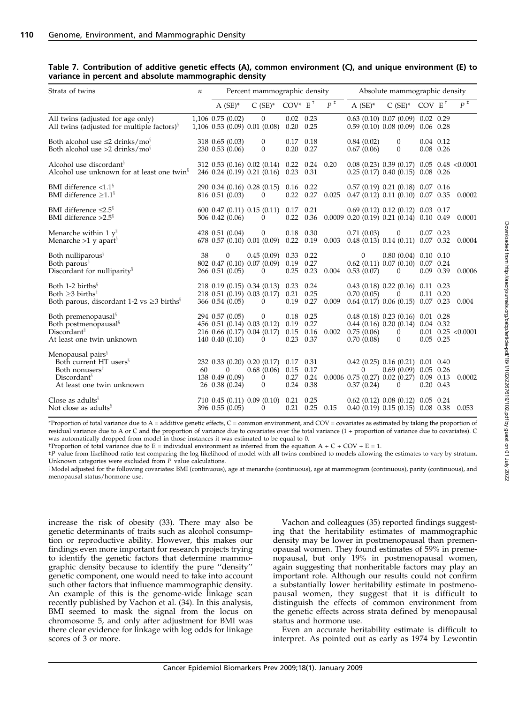| Strata of twins                                                                                                                                           | $\boldsymbol{n}$  |                                               | Percent mammographic density                                                              |                               |                                     |           |                          | Absolute mammographic density                                                                                                                   |                              |                          |
|-----------------------------------------------------------------------------------------------------------------------------------------------------------|-------------------|-----------------------------------------------|-------------------------------------------------------------------------------------------|-------------------------------|-------------------------------------|-----------|--------------------------|-------------------------------------------------------------------------------------------------------------------------------------------------|------------------------------|--------------------------|
|                                                                                                                                                           |                   | $A$ (SE)*                                     | $C(SE)^*$                                                                                 | $COV^* E^{\dagger}$           |                                     | $P^{\pm}$ | A $(SE)^*$               | $C$ (SE)* $COV$ E <sup>†</sup>                                                                                                                  |                              | $P^{\pm}$                |
| All twins (adjusted for age only)<br>All twins (adjusted for multiple factors) $\frac{1}{2}$                                                              | 1,106 0.75 (0.02) |                                               | $\mathbf{0}$<br>1,106 0.53 (0.09) 0.01 (0.08)                                             | 0.20                          | $0.02 \quad 0.23$<br>0.25           |           |                          | 0.63(0.10) 0.07(0.09) 0.02 0.29<br>0.59(0.10) 0.08(0.09) 0.06 0.28                                                                              |                              |                          |
| Both alcohol use $\leq$ drinks/mo <sup>§</sup><br>Both alcohol use $>2$ drinks/mo <sup>§</sup>                                                            |                   | 318 0.65 (0.03)<br>230 0.53 (0.06)            | $\theta$<br>$\theta$                                                                      | 0.20                          | $0.17$ 0.18<br>0.27                 |           | 0.84(0.02)<br>0.67(0.06) | $\mathbf{0}$<br>$\mathbf{0}$                                                                                                                    | $0.04$ $0.12$<br>$0.08$ 0.26 |                          |
| Alcohol use discordant <sup>§</sup><br>Alcohol use unknown for at least one twin <sup>§</sup>                                                             |                   |                                               | 312 0.53 (0.16) 0.02 (0.14) 0.22<br>246 0.24 (0.19) 0.21 (0.16) 0.23                      |                               | 0.24<br>0.31                        | 0.20      |                          | $0.08$ (0.23) $0.39$ (0.17) $0.05$ 0.48 < 0.0001<br>0.25(0.17)0.40(0.15)0.080.26                                                                |                              |                          |
| BMI difference $\langle 1.1$ <sup>§</sup><br>BMI difference $\geq 1.1$ <sup>§</sup>                                                                       |                   | 816 0.51 (0.03)                               | 290 0.34 (0.16) 0.28 (0.15) 0.16<br>$\theta$                                              | 0.22                          | 0.22<br>0.27                        | 0.025     |                          | 0.57(0.19) 0.21(0.18) 0.07 0.16<br>$0.47(0.12)$ $0.11(0.10)$ $0.07$ $0.35$                                                                      |                              | 0.0002                   |
| BMI difference $\leq 2.5^{\frac{5}{3}}$<br>BMI difference $>2.5$ <sup>§</sup>                                                                             |                   | 506 0.42 (0.06)                               | 600 0.47 (0.11) 0.15 (0.11) 0.17<br>$\theta$                                              | 0.22                          | 0.21<br>0.36                        |           |                          | 0.69(0.12)0.12(0.12)0.030.17<br>$0.0009$ $0.20$ $(0.19)$ $0.21$ $(0.14)$ $0.10$ $0.49$                                                          |                              | 0.0001                   |
| Menarche within $1 y_1^8$<br>Menarche $>1$ y apart <sup>§</sup>                                                                                           |                   | 428 0.51 (0.04)                               | $\overline{0}$<br>678 0.57 (0.10) 0.01 (0.09) 0.22                                        | 0.18                          | 0.30<br>0.19                        | 0.003     | 0.71(0.03)               | $\theta$<br>0.48(0.13) 0.14(0.11) 0.07 0.32                                                                                                     | $0.07$ 0.23                  | 0.0004                   |
| Both nulliparous <sup>§</sup><br>Both parous <sup>§</sup><br>Discordant for nulliparity <sup>§</sup>                                                      | 38                | $\theta$<br>266 0.51 (0.05)                   | $0.45(0.09)$ 0.33<br>802 0.47 (0.10) 0.07 (0.09) 0.19<br>$\theta$                         | 0.25                          | 0.22<br>0.27<br>0.23                | 0.004     | 0<br>0.53(0.07)          | $0.80(0.04)$ $0.10$ $0.10$<br>$0.62$ (0.11) $0.07$ (0.10) $0.07$ 0.24<br>$\bf{0}$                                                               | 0.09 0.39                    | 0.0006                   |
| Both 1-2 births <sup>§</sup><br>Both $\geq$ 3 births <sup>§</sup><br>Both parous, discordant 1-2 vs $\geq$ 3 births <sup>§</sup>                          |                   | 366 0.54 (0.05)                               | 218 0.19 (0.15) 0.34 (0.13) 0.23 0.24<br>218 0.51 (0.19) 0.03 (0.17) 0.21<br>$\theta$     | 0.19                          | 0.25<br>0.27                        | 0.009     | 0.70(0.05)               | 0.43(0.18)0.22(0.16)0.110.23<br>$\theta$<br>$0.64$ $(0.17)$ $0.06$ $(0.15)$ $0.07$ $0.23$                                                       | $0.11$ $0.20$                | 0.004                    |
| Both premenopausal <sup>§</sup><br>Both postmenopausal <sup>§</sup><br>Discordant <sup>§</sup><br>At least one twin unknown                               |                   | 294 0.57 (0.05)<br>140 0.40 (0.10)            | $\mathbf{0}$<br>456 0.51 (0.14) 0.03 (0.12) 0.19<br>216 0.66 (0.17) 0.04 (0.17) 0.15<br>0 | 0.23                          | $0.18$ 0.25<br>0.27<br>0.16<br>0.37 | 0.002     | 0.75(0.06)<br>0.70(0.08) | $0.48$ $(0.18)$ $0.23$ $(0.16)$ $0.01$ $0.28$<br>$0.44$ $(0.16)$ $0.20$ $(0.14)$ $0.04$ $0.32$<br>$\theta$<br>$\mathbf{0}$                      | $0.05$ 0.25                  | $0.01$ $0.25$ < $0.0001$ |
| Menopausal pairs <sup>§</sup><br>Both current HT users <sup>§</sup><br>Both nonusers <sup>§</sup><br>Discordant <sup>§</sup><br>At least one twin unknown | 60                | $\Omega$<br>138 0.49 (0.09)<br>26 0.38 (0.24) | 232 0.33 (0.20) 0.20 (0.17)<br>$0.68(0.06)$ 0.15<br>$\overline{0}$<br>0                   | $0.17$ $0.31$<br>0.27<br>0.24 | 0.17<br>0.24<br>0.38                |           | $\Omega$<br>0.37(0.24)   | $0.42$ (0.25) $0.16$ (0.21) $0.01$ 0.40<br>$0.69(0.09)$ $0.05$ $0.26$<br>$0.0006$ $0.75$ $(0.27)$ $0.02$ $(0.27)$ $0.09$ $0.13$<br>$\mathbf{0}$ | $0.20$ 0.43                  | 0.0002                   |
| Close as adults $\frac{8}{3}$<br>Not close as adults <sup>3</sup>                                                                                         |                   | 396 0.55 (0.05)                               | 710 0.45 (0.11) 0.09 (0.10)<br>0                                                          | 0.21                          | 0.25<br>$0.21$ 0.25                 | 0.15      |                          | $0.62$ (0.12) $0.08$ (0.12) $0.05$ 0.24<br>0.40(0.19) 0.15(0.15) 0.08 0.38                                                                      |                              | 0.053                    |

Table 7. Contribution of additive genetic effects (A), common environment (C), and unique environment (E) to variance in percent and absolute mammographic density

\*Proportion of total variance due to A = additive genetic effects, C = common environment, and COV = covariates as estimated by taking the proportion of residual variance due to A or C and the proportion of variance due to covariates over the total variance (1 + proportion of variance due to covariates). C was automatically dropped from model in those instances it was estimated to be equal to 0.

 $t$ Proportion of total variance due to E = individual environment as inferred from the equation A + C + COV + E = 1.

#P value from likelihood ratio test comparing the log likelihood of model with all twins combined to models allowing the estimates to vary by stratum. Unknown categories were excluded from P value calculations.

 $$$ Model adjusted for the following covariates: BMI (continuous), age at menarche (continuous), age at mammogram (continuous), parity (continuous), and menopausal status/hormone use.

increase the risk of obesity (33). There may also be genetic determinants of traits such as alcohol consumption or reproductive ability. However, this makes our findings even more important for research projects trying to identify the genetic factors that determine mammographic density because to identify the pure ''density'' genetic component, one would need to take into account such other factors that influence mammographic density. An example of this is the genome-wide linkage scan recently published by Vachon et al. (34). In this analysis, BMI seemed to mask the signal from the locus on chromosome 5, and only after adjustment for BMI was there clear evidence for linkage with log odds for linkage scores of 3 or more.

Vachon and colleagues (35) reported findings suggesting that the heritability estimates of mammographic density may be lower in postmenopausal than premenopausal women. They found estimates of 59% in premenopausal, but only 19% in postmenopausal women, again suggesting that nonheritable factors may play an important role. Although our results could not confirm a substantially lower heritability estimate in postmenopausal women, they suggest that it is difficult to distinguish the effects of common environment from the genetic effects across strata defined by menopausal status and hormone use.

Even an accurate heritability estimate is difficult to interpret. As pointed out as early as 1974 by Lewontin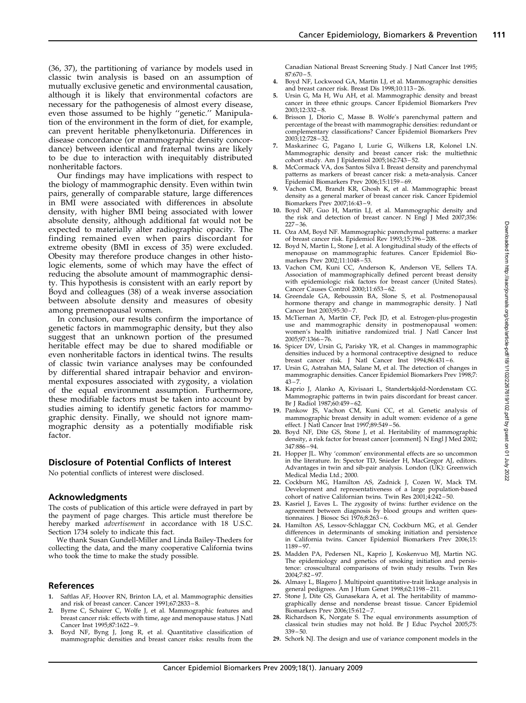(36, 37), the partitioning of variance by models used in classic twin analysis is based on an assumption of mutually exclusive genetic and environmental causation, although it is likely that environmental cofactors are necessary for the pathogenesis of almost every disease, even those assumed to be highly ''genetic.'' Manipulation of the environment in the form of diet, for example, can prevent heritable phenylketonuria. Differences in disease concordance (or mammographic density concordance) between identical and fraternal twins are likely to be due to interaction with inequitably distributed nonheritable factors.

Our findings may have implications with respect to the biology of mammographic density. Even within twin pairs, generally of comparable stature, large differences in BMI were associated with differences in absolute density, with higher BMI being associated with lower absolute density, although additional fat would not be expected to materially alter radiographic opacity. The finding remained even when pairs discordant for extreme obesity (BMI in excess of 35) were excluded. Obesity may therefore produce changes in other histologic elements, some of which may have the effect of reducing the absolute amount of mammographic density. This hypothesis is consistent with an early report by Boyd and colleagues (38) of a weak inverse association between absolute density and measures of obesity among premenopausal women.

In conclusion, our results confirm the importance of genetic factors in mammographic density, but they also suggest that an unknown portion of the presumed heritable effect may be due to shared modifiable or even nonheritable factors in identical twins. The results of classic twin variance analyses may be confounded by differential shared intrapair behavior and environmental exposures associated with zygosity, a violation of the equal environment assumption. Furthermore, these modifiable factors must be taken into account by studies aiming to identify genetic factors for mammographic density. Finally, we should not ignore mammographic density as a potentially modifiable risk factor.

## Disclosure of Potential Conflicts of Interest

No potential conflicts of interest were disclosed.

## Acknowledgments

The costs of publication of this article were defrayed in part by the payment of page charges. This article must therefore be hereby marked *advertisement* in accordance with 18 U.S.C. Section 1734 solely to indicate this fact.

We thank Susan Gundell-Miller and Linda Bailey-Theders for collecting the data, and the many cooperative California twins who took the time to make the study possible.

## References

- 1. Saftlas AF, Hoover RN, Brinton LA, et al. Mammographic densities and risk of breast cancer. Cancer 1991;67:2833 – 8.
- 2. Byrne C, Schairer C, Wolfe J, et al. Mammographic features and breast cancer risk: effects with time, age and menopause status. J Natl Cancer Inst 1995;87:1622 – 9.
- 3. Boyd NF, Byng J, Jong R, et al. Quantitative classification of mammographic densities and breast cancer risks: results from the

Canadian National Breast Screening Study. J Natl Cancer Inst 1995; 87:670 – 5.

- 4. Boyd NF, Lockwood GA, Martin LJ, et al. Mammographic densities and breast cancer risk. Breast Dis 1998;10:113 – 26.
- Ursin G, Ma H, Wu AH, et al. Mammographic density and breast cancer in three ethnic groups. Cancer Epidemiol Biomarkers Prev 2003;12:332 – 8.
- 6. Brisson J, Diorio C, Masse B. Wolfe's parenchymal pattern and percentage of the breast with mammographic densities: redundant or complementary classifications? Cancer Epidemiol Biomarkers Prev 2003;12:728 – 32.
- 7. Maskarinec G, Pagano I, Lurie G, Wilkens LR, Kolonel LN. Mammographic density and breast cancer risk: the multiethnic cohort study. Am J Epidemiol 2005;162:743 – 52.
- McCormack VA, dos Santos Silva I. Breast density and parenchymal patterns as markers of breast cancer risk: a meta-analysis. Cancer Epidemiol Biomarkers Prev 2006;15:1159 – 69.
- Vachon CM, Brandt KR, Ghosh K, et al. Mammographic breast density as a general marker of breast cancer risk. Cancer Epidemiol Biomarkers Prev 2007;16:43 – 9.
- 10. Boyd NF, Guo H, Martin LJ, et al. Mammographic density and the risk and detection of breast cancer. N Engl J Med 2007;356:  $227 - 36.$
- 11. Oza AM, Boyd NF. Mammographic parenchymal patterns: a marker of breast cancer risk. Epidemiol Rev 1993;15:196 – 208.
- 12. Boyd N, Martin L, Stone J, et al. A longitudinal study of the effects of menopause on mammographic features. Cancer Epidemiol Biomarkers Prev 2002;11:1048 – 53.
- 13. Vachon CM, Kuni CC, Anderson K, Anderson VE, Sellers TA. Association of mammographically defined percent breast density with epidemiologic risk factors for breast cancer (United States). Cancer Causes Control 2000;11:653 – 62.
- 14. Greendale GA, Reboussin BA, Slone S, et al. Postmenopausal hormone therapy and change in mammographic density. J Natl Cancer Inst 2003;95:30 – 7.
- 15. McTiernan A, Martin CF, Peck JD, et al. Estrogen-plus-progestin use and mammographic density in postmenopausal women: women's health initiative randomized trial. J Natl Cancer Inst 2005;97:1366 – 76.
- 16. Spicer DV, Ursin G, Parisky YR, et al. Changes in mammographic densities induced by a hormonal contraceptive designed to reduce breast cancer risk. J Natl Cancer Inst 1994;86:431-6.
- 17. Ursin G, Astrahan MA, Salane M, et al. The detection of changes in mammographic densities. Cancer Epidemiol Biomarkers Prev 1998;7:  $43 - 7$ .
- 18. Kaprio J, Alanko A, Kivisaari L, Standertskjold-Nordenstam CG. Mammographic patterns in twin pairs discordant for breast cancer. Br J Radiol 1987;60:459 – 62.
- 19. Pankow JS, Vachon CM, Kuni CC, et al. Genetic analysis of mammographic breast density in adult women: evidence of a gene effect. J Natl Cancer Inst 1997;89:549 – 56.
- 20. Boyd NF, Dite GS, Stone J, et al. Heritability of mammographic density, a risk factor for breast cancer [comment]. N Engl J Med 2002; 347:886 – 94.
- 21. Hopper JL. Why 'common' environmental effects are so uncommon in the literature. In: Spector TD, Snieder H, MacGregor AJ, editors. Advantages in twin and sib-pair analysis. London (UK): Greenwich Medical Media Ltd.; 2000.
- 22. Cockburn MG, Hamilton AS, Zadnick J, Cozen W, Mack TM. Development and representativeness of a large population-based cohort of native Californian twins. Twin Res 2001;4:242 – 50.
- 23. Kasriel J, Eaves L. The zygosity of twins: further evidence on the agreement between diagnosis by blood groups and written questionnaires. J Biosoc Sci 1976;8:263 – 6.
- 24. Hamilton AS, Lessov-Schlaggar CN, Cockburn MG, et al. Gender differences in determinants of smoking initiation and persistence in California twins. Cancer Epidemiol Biomarkers Prev 2006;15: 1189 – 97.
- 25. Madden PA, Pedersen NL, Kaprio J, Koskenvuo MJ, Martin NG. The epidemiology and genetics of smoking initiation and persistence: crosscultural comparisons of twin study results. Twin Res 2004;7:82 – 97.
- 26. Almasy L, Blagero J. Multipoint quantitative-trait linkage analysis in general pedigrees. Am J Hum Genet 1998;62:1198 – 211.
- 27. Stone J, Dite GS, Gunasekara A, et al. The heritability of mammographically dense and nondense breast tissue. Cancer Epidemiol Biomarkers Prev 2006;15:612 – 7.
- 28. Richardson K, Norgate S. The equal environments assumption of classical twin studies may not hold. Br J Educ Psychol 2005;75: 339 – 50.
- 29. Schork NJ. The design and use of variance component models in the